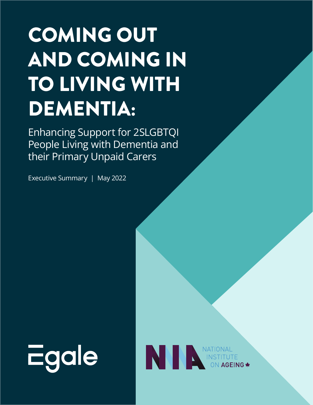## COMING OUT AND COMING IN TO LIVING WITH DEMENTIA:

Enhancing Support for 2SLGBTQI People Living with Dementia and their Primary Unpaid Carers

Executive Summary | May 2022



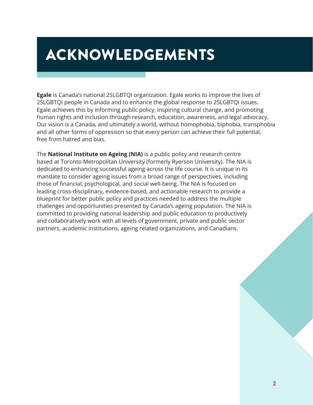### ACKNOWLEDGEMENTS

**Egale** is Canada's national 2SLGBTQI organization. Egale works to improve the lives of 2SLGBTQI people in Canada and to enhance the global response to 2SLGBTQI issues. Egale achieves this by informing public policy, inspiring cultural change, and promoting human rights and inclusion through research, education, awareness, and legal advocacy. Our vision is a Canada, and ultimately a world, without homophobia, biphobia, transphobia and all other forms of oppression so that every person can achieve their full potential, free from hatred and bias.

The **National Institute on Ageing (NIA)** is a public policy and research centre based at Toronto Metropolitan University (formerly Ryerson University). The NIA is dedicated to enhancing successful ageing across the life course. It is unique in its mandate to consider ageing issues from a broad range of perspectives, including those of financial, psychological, and social well-being. The NIA is focused on leading cross-disciplinary, evidence-based, and actionable research to provide a blueprint for better public policy and practices needed to address the multiple challenges and opportunities presented by Canada's ageing population. The NIA is committed to providing national leadership and public education to productively and collaboratively work with all levels of government, private and public sector partners, academic institutions, ageing related organizations, and Canadians.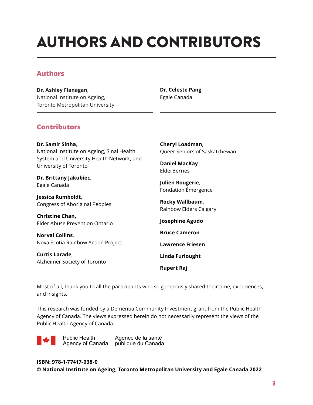## AUTHORS AND CONTRIBUTORS

#### **Authors**

**Dr. Ashley Flanagan**, National Institute on Ageing, Toronto Metropolitan University

#### **Dr. Celeste Pang**, Egale Canada

#### **Contributors**

**Dr. Samir Sinha**, National Institute on Ageing, Sinai Health System and University Health Network, and University of Toronto

**Dr. Brittany Jakubiec**, Egale Canada

**Jessica Rumboldt**, Congress of Aboriginal Peoples

**Christine Chan,**  Elder Abuse Prevention Ontario

**Norval Collins**, Nova Scotia Rainbow Action Project

**Curtis Larade**, Alzheimer Society of Toronto **Cheryl Loadman**, Queer Seniors of Saskatchewan

**Daniel MacKay**, ElderBerries

**Julien Rougerie**, Fondation Émergence

**Rocky Wallbaum**, Rainbow Elders Calgary

**Josephine Agudo**

**Bruce Cameron** 

**Lawrence Friesen**

**Linda Furlought**

**Rupert Raj**

Most of all, thank you to all the participants who so generously shared their time, experiences, and insights.

This research was funded by a Dementia Community Investment grant from the Public Health Agency of Canada. The views expressed herein do not necessarily represent the views of the Public Health Agency of Canada.

**Public Health** Agence de la santé Agency of Canada publique du Canada

**ISBN: 978-1-77417-038-0 © National Institute on Ageing, Toronto Metropolitan University and Egale Canada 2022**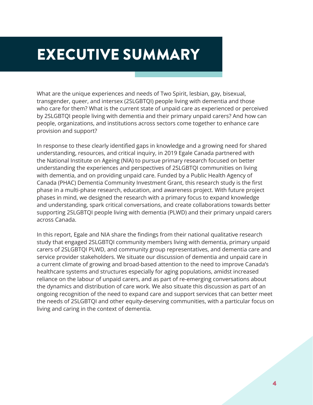## EXECUTIVE SUMMARY

What are the unique experiences and needs of Two Spirit, lesbian, gay, bisexual, transgender, queer, and intersex (2SLGBTQI) people living with dementia and those who care for them? What is the current state of unpaid care as experienced or perceived by 2SLGBTQI people living with dementia and their primary unpaid carers? And how can people, organizations, and institutions across sectors come together to enhance care provision and support?

In response to these clearly identified gaps in knowledge and a growing need for shared understanding, resources, and critical inquiry, in 2019 Egale Canada partnered with the National Institute on Ageing (NIA) to pursue primary research focused on better understanding the experiences and perspectives of 2SLGBTQI communities on living with dementia, and on providing unpaid care. Funded by a Public Health Agency of Canada (PHAC) Dementia Community Investment Grant, this research study is the first phase in a multi-phase research, education, and awareness project. With future project phases in mind, we designed the research with a primary focus to expand knowledge and understanding, spark critical conversations, and create collaborations towards better supporting 2SLGBTQI people living with dementia (PLWD) and their primary unpaid carers across Canada.

In this report, Egale and NIA share the findings from their national qualitative research study that engaged 2SLGBTQI community members living with dementia, primary unpaid carers of 2SLGBTQI PLWD, and community group representatives, and dementia care and service provider stakeholders. We situate our discussion of dementia and unpaid care in a current climate of growing and broad-based attention to the need to improve Canada's healthcare systems and structures especially for aging populations, amidst increased reliance on the labour of unpaid carers, and as part of re-emerging conversations about the dynamics and distribution of care work. We also situate this discussion as part of an ongoing recognition of the need to expand care and support services that can better meet the needs of 2SLGBTQI and other equity-deserving communities, with a particular focus on living and caring in the context of dementia.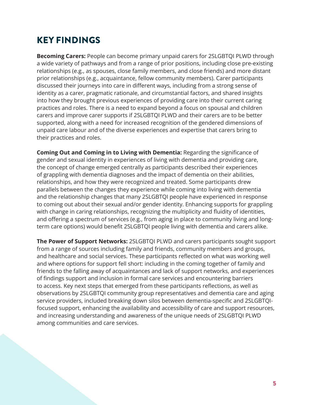#### KEY FINDINGS

**Becoming Carers:** People can become primary unpaid carers for 2SLGBTQI PLWD through a wide variety of pathways and from a range of prior positions, including close pre-existing relationships (e.g., as spouses, close family members, and close friends) and more distant prior relationships (e.g., acquaintance, fellow community members). Carer participants discussed their journeys into care in different ways, including from a strong sense of identity as a carer, pragmatic rationale, and circumstantial factors, and shared insights into how they brought previous experiences of providing care into their current caring practices and roles. There is a need to expand beyond a focus on spousal and children carers and improve carer supports if 2SLGBTQI PLWD and their carers are to be better supported, along with a need for increased recognition of the gendered dimensions of unpaid care labour and of the diverse experiences and expertise that carers bring to their practices and roles.

**Coming Out and Coming in to Living with Dementia:** Regarding the significance of gender and sexual identity in experiences of living with dementia and providing care, the concept of change emerged centrally as participants described their experiences of grappling with dementia diagnoses and the impact of dementia on their abilities, relationships, and how they were recognized and treated. Some participants drew parallels between the changes they experience while coming into living with dementia and the relationship changes that many 2SLGBTQI people have experienced in response to coming out about their sexual and/or gender identity. Enhancing supports for grappling with change in caring relationships, recognizing the multiplicity and fluidity of identities, and offering a spectrum of services (e.g., from aging in place to community living and longterm care options) would benefit 2SLGBTQI people living with dementia and carers alike.

**The Power of Support Networks:** 2SLGBTQI PLWD and carers participants sought support from a range of sources including family and friends, community members and groups, and healthcare and social services. These participants reflected on what was working well and where options for support fell short: including in the coming together of family and friends to the falling away of acquaintances and lack of support networks, and experiences of findings support and inclusion in formal care services and encountering barriers to access. Key next steps that emerged from these participants reflections, as well as observations by 2SLGBTQI community group representatives and dementia care and aging service providers, included breaking down silos between dementia-specific and 2SLGBTQIfocused support, enhancing the availability and accessibility of care and support resources, and increasing understanding and awareness of the unique needs of 2SLGBTQI PLWD among communities and care services.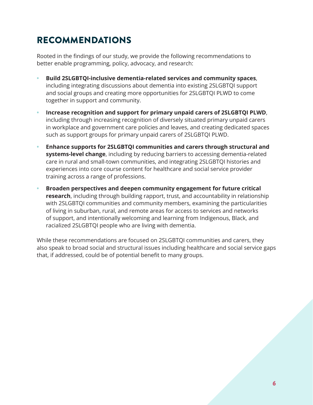#### RECOMMENDATIONS

Rooted in the findings of our study, we provide the following recommendations to better enable programming, policy, advocacy, and research:

- **• Build 2SLGBTQI-inclusive dementia-related services and community spaces**, including integrating discussions about dementia into existing 2SLGBTQI support and social groups and creating more opportunities for 2SLGBTQI PLWD to come together in support and community.
- **• Increase recognition and support for primary unpaid carers of 2SLGBTQI PLWD**, including through increasing recognition of diversely situated primary unpaid carers in workplace and government care policies and leaves, and creating dedicated spaces such as support groups for primary unpaid carers of 2SLGBTQI PLWD.
- **• Enhance supports for 2SLGBTQI communities and carers through structural and systems-level change**, including by reducing barriers to accessing dementia-related care in rural and small-town communities, and integrating 2SLGBTQI histories and experiences into core course content for healthcare and social service provider training across a range of professions.
- **• Broaden perspectives and deepen community engagement for future critical research**, including through building rapport, trust, and accountability in relationship with 2SLGBTQI communities and community members, examining the particularities of living in suburban, rural, and remote areas for access to services and networks of support, and intentionally welcoming and learning from Indigenous, Black, and racialized 2SLGBTQI people who are living with dementia.

While these recommendations are focused on 2SLGBTQI communities and carers, they also speak to broad social and structural issues including healthcare and social service gaps that, if addressed, could be of potential benefit to many groups.